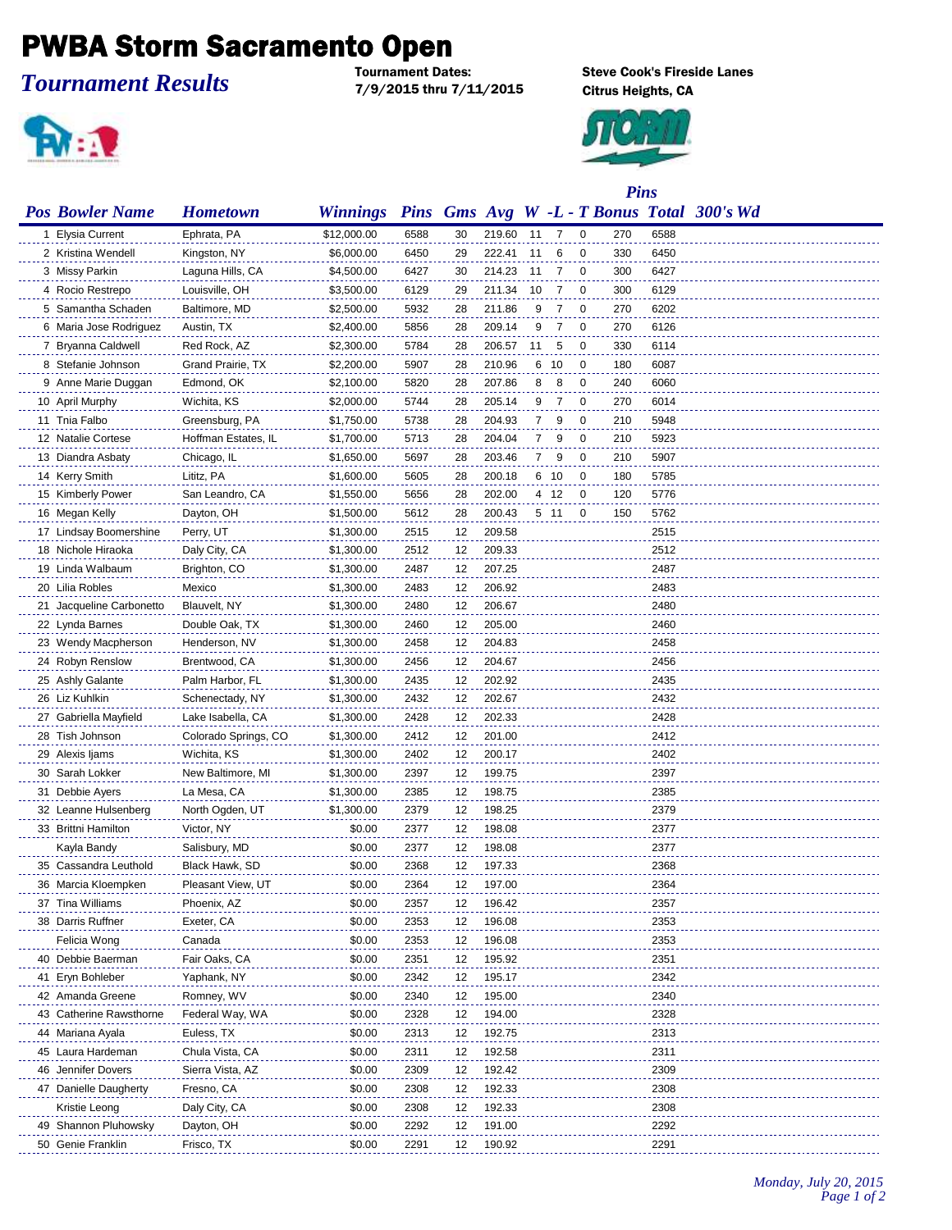## **PWBA Storm Sacramento Open**

## *Tournament Results*

7/9/2015 thru 7/11/2015 Citrus Heights, CA



**Steve Cook's Fireside Lanes** 



|                          |                      |                 |             |    | <b>Pins</b> |                |      |                |     |      |                                       |
|--------------------------|----------------------|-----------------|-------------|----|-------------|----------------|------|----------------|-----|------|---------------------------------------|
| <b>Pos Bowler Name</b>   | <b>Hometown</b>      | <b>Winnings</b> | <b>Pins</b> |    |             |                |      |                |     |      | Gms Avg W -L - T Bonus Total 300's Wd |
| 1 Elysia Current         | Ephrata, PA          | \$12,000.00     | 6588        | 30 | 219.60      | 11             | 7    | $\overline{0}$ | 270 | 6588 |                                       |
| 2 Kristina Wendell       | Kingston, NY         | \$6,000.00      | 6450        | 29 | 222.41      | 11             | 6    | $\overline{0}$ | 330 | 6450 |                                       |
| 3 Missy Parkin           | Laguna Hills, CA     | \$4,500.00      | 6427        | 30 | 214.23      | 11             | 7    | $\overline{0}$ | 300 | 6427 |                                       |
| 4 Rocio Restrepo         | Louisville, OH       | \$3,500.00      | 6129        | 29 | 211.34      | 10             | 7    | $\overline{0}$ | 300 | 6129 |                                       |
| 5 Samantha Schaden       | Baltimore, MD        | \$2,500.00      | 5932        | 28 | 211.86      | 9              | 7    | $\overline{0}$ | 270 | 6202 |                                       |
| 6 Maria Jose Rodriguez   | Austin, TX           | \$2,400.00      | 5856        | 28 | 209.14      | 9              | 7    | $\overline{0}$ | 270 | 6126 |                                       |
| 7 Bryanna Caldwell       | Red Rock, AZ         | \$2,300.00      | 5784        | 28 | 206.57      | 11             | 5    | 0              | 330 | 6114 |                                       |
| 8 Stefanie Johnson       | Grand Prairie, TX    | \$2,200.00      | 5907        | 28 | 210.96      | 6              | - 10 | 0              | 180 | 6087 |                                       |
| 9 Anne Marie Duggan      | Edmond, OK           | \$2,100.00      | 5820        | 28 | 207.86      | 8              | 8    | 0              | 240 | 6060 |                                       |
| 10 April Murphy          | Wichita, KS          | \$2,000.00      | 5744        | 28 | 205.14      | 9              | 7    | $\overline{0}$ | 270 | 6014 |                                       |
| 11 Tnia Falbo            | Greensburg, PA       | \$1,750.00      | 5738        | 28 | 204.93      | $\overline{7}$ | 9    | $\mathbf 0$    | 210 | 5948 |                                       |
| 12 Natalie Cortese       | Hoffman Estates, IL  | \$1,700.00      | 5713        | 28 | 204.04      | $\overline{7}$ | 9    | $\overline{0}$ | 210 | 5923 |                                       |
| 13 Diandra Asbaty        | Chicago, IL          | \$1,650.00      | 5697        | 28 | 203.46      | $\overline{7}$ | 9    | $\mathbf 0$    | 210 | 5907 |                                       |
| 14 Kerry Smith           | Lititz, PA           | \$1,600.00      | 5605        | 28 | 200.18      |                | 6 10 | $\mathbf 0$    | 180 | 5785 |                                       |
| 15 Kimberly Power        | San Leandro, CA      | \$1,550.00      | 5656        | 28 | 202.00      |                | 4 12 | $\overline{0}$ | 120 | 5776 |                                       |
| 16 Megan Kelly           | Dayton, OH           | \$1,500.00      | 5612        | 28 | 200.43      |                | 5 11 | 0              | 150 | 5762 |                                       |
| 17 Lindsay Boomershine   | Perry, UT            | \$1,300.00      | 2515        | 12 | 209.58      |                |      |                |     | 2515 |                                       |
| 18 Nichole Hiraoka       | Daly City, CA        | \$1,300.00      | 2512        | 12 | 209.33      |                |      |                |     | 2512 |                                       |
| 19 Linda Walbaum         | Brighton, CO         | \$1,300.00      | 2487        | 12 | 207.25      |                |      |                |     | 2487 |                                       |
| 20 Lilia Robles          | Mexico               | \$1,300.00      | 2483        | 12 | 206.92      |                |      |                |     | 2483 |                                       |
| 21 Jacqueline Carbonetto | Blauvelt, NY         | \$1,300.00      | 2480        | 12 | 206.67      |                |      |                |     | 2480 |                                       |
| 22 Lynda Barnes          | Double Oak, TX       | \$1,300.00      | 2460        | 12 | 205.00      |                |      |                |     | 2460 |                                       |
| 23 Wendy Macpherson      | Henderson, NV        | \$1,300.00      | 2458        | 12 | 204.83      |                |      |                |     | 2458 |                                       |
| 24 Robyn Renslow         | Brentwood, CA        | \$1,300.00      | 2456        | 12 | 204.67      |                |      |                |     | 2456 |                                       |
| 25 Ashly Galante         | Palm Harbor, FL      | \$1,300.00      | 2435        | 12 | 202.92      |                |      |                |     | 2435 |                                       |
| 26 Liz Kuhlkin           | Schenectady, NY      | \$1,300.00      | 2432        | 12 | 202.67      |                |      |                |     | 2432 |                                       |
| 27 Gabriella Mayfield    | Lake Isabella, CA    | \$1,300.00      | 2428        | 12 | 202.33      |                |      |                |     | 2428 |                                       |
| 28 Tish Johnson          | Colorado Springs, CO | \$1,300.00      | 2412        | 12 | 201.00      |                |      |                |     | 2412 |                                       |
| 29 Alexis Ijams          | Wichita, KS          | \$1,300.00      | 2402        | 12 | 200.17      |                |      |                |     | 2402 |                                       |
| 30 Sarah Lokker          | New Baltimore, MI    | \$1,300.00      | 2397        | 12 | 199.75      |                |      |                |     | 2397 |                                       |
| 31 Debbie Ayers          | La Mesa, CA          | \$1,300.00      | 2385        | 12 | 198.75      |                |      |                |     | 2385 |                                       |
| 32 Leanne Hulsenberg     | North Ogden, UT      | \$1,300.00      | 2379        | 12 | 198.25      |                |      |                |     | 2379 |                                       |
| 33 Brittni Hamilton      | Victor, NY           | \$0.00          | 2377        | 12 | 198.08      |                |      |                |     | 2377 |                                       |
| Kayla Bandy              | Salisbury, MD        | \$0.00          | 2377        | 12 | 198.08      |                |      |                |     | 2377 |                                       |
| 35 Cassandra Leuthold    | Black Hawk, SD       | \$0.00          | 2368        |    | 12 197.33   |                |      |                |     | 2368 |                                       |
| 36 Marcia Kloempken      | Pleasant View, UT    | \$0.00          | 2364        | 12 | 197.00      |                |      |                |     | 2364 |                                       |
| 37 Tina Williams         | Phoenix, AZ          | \$0.00          | 2357        | 12 | 196.42      |                |      |                |     | 2357 |                                       |
| 38 Darris Ruffner        | Exeter, CA           | \$0.00          | 2353        | 12 | 196.08      |                |      |                |     | 2353 |                                       |
| Felicia Wong             | Canada               | \$0.00          | 2353        | 12 | 196.08      |                |      |                |     | 2353 |                                       |
| 40 Debbie Baerman        | Fair Oaks, CA        | \$0.00          | 2351        | 12 | 195.92      |                |      |                |     | 2351 |                                       |
| 41 Eryn Bohleber         | Yaphank, NY          | \$0.00          | 2342        | 12 | 195.17      |                |      |                |     | 2342 |                                       |
| 42 Amanda Greene         | Romney, WV           | \$0.00          | 2340        | 12 | 195.00      |                |      |                |     | 2340 |                                       |
| 43 Catherine Rawsthorne  | Federal Way, WA      | \$0.00          | 2328        | 12 | 194.00      |                |      |                |     | 2328 |                                       |
| 44 Mariana Ayala         | Euless, TX           | \$0.00          | 2313        | 12 | 192.75      |                |      |                |     | 2313 |                                       |
| 45 Laura Hardeman        | Chula Vista, CA      | \$0.00          | 2311        | 12 | 192.58      |                |      |                |     | 2311 |                                       |
| 46 Jennifer Dovers       | Sierra Vista, AZ     | \$0.00          | 2309        | 12 | 192.42      |                |      |                |     | 2309 |                                       |
| 47 Danielle Daugherty    | Fresno, CA           | \$0.00          | 2308        | 12 | 192.33      |                |      |                |     | 2308 |                                       |
| Kristie Leong            | Daly City, CA        | \$0.00          | 2308        | 12 | 192.33      |                |      |                |     | 2308 |                                       |
| 49 Shannon Pluhowsky     | Dayton, OH           | \$0.00          | 2292        | 12 | 191.00      |                |      |                |     | 2292 |                                       |
| 50 Genie Franklin        | Frisco, TX           | \$0.00          | 2291        | 12 | 190.92      |                |      |                |     | 2291 |                                       |
|                          |                      |                 |             |    |             |                |      |                |     |      |                                       |